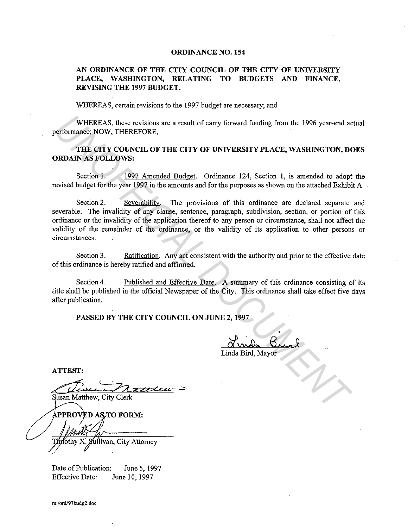## **ORDINANCE NO. 154**

## **AN ORDINANCE OF THE CITY COUNCIL OF THE CITY OF UNIVERSITY PLACE, WASHINGTON, RELATING TO BUDGETS AND FINANCE, REVISING THE 1997 BUDGET.**

WHEREAS, certain revisions to the 1997 budget are necessary; and

WHEREAS, these revisions are a result of carry forward funding from the 1996 year-end actual performance; NOW, THEREFORE,

## **THE CITY COUNCIL OF THE CITY OF UNIVERSITY PLACE, WASHINGTON, DOES ORDAIN AS FOLLOWS:**

Section 1. 1997 Amended Budget. Ordinance 124, Section **1,** is amended to adopt the revised budget for the year 1997 in the amounts and for the purposes as shown on the attached Exhibit A.

Section 2. Severability. The provisions of this ordinance are declared separate and severable. The invalidity of any clause, sentence, paragraph, subdivision, section, or portion of this ordinance or the invalidity of the application thereof to any person or circumstance, shall not affect the validity of the remainder of the ordinance, or the validity of its application to other persons or circumstances. WHEREAS, these revisions are a result of carry forward funding from the 1996 year-end ac<br> **THEREFORE,**<br> **THEREFORE,**<br> **THEREFORE,**<br> **THEREFORE,**<br> **UNOFFICIAL OF THE CITY OF UNIVERSITY PLACE, WASHINGTON, DO<br>
<b>UNOFFICIAL DOC** 

Section 3. Ratification. Any act consistent with the authority and prior to the effective date of this ordinance is hereby ratified and affirmed.

Section 4. Published and Effective Date. A summary of this ordinance consisting of its title shall be published in the official Newspaper of the City. This ordinance shall take effect five days after publication.

**PASSED BY THE CITY COUNCIL ON JUNE 2, 1997** 

Linda Bird, Mayor

**ATTEST:** 

ľothv ullivan, City Attorney

Date of Publication: June 5, 1997 Effective Date: June 10, 1997

m:lord/97budg2.doc